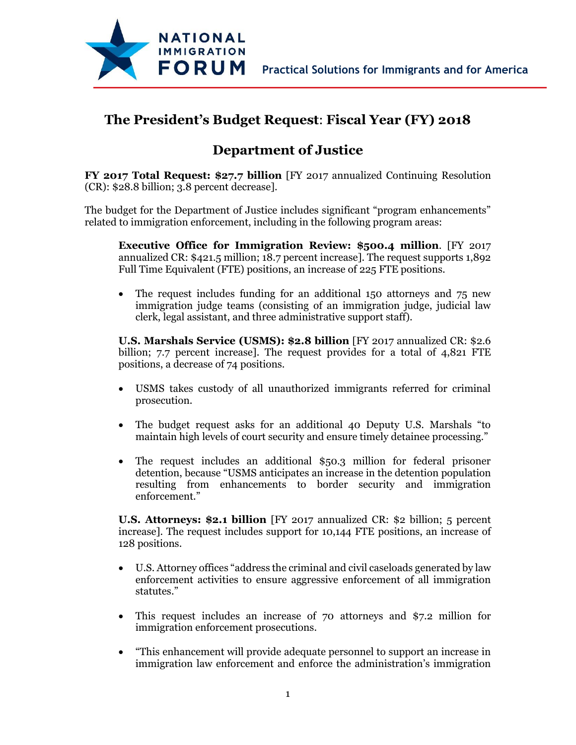

## **The President's Budget Request**: **Fiscal Year (FY) 2018**

## **Department of Justice**

**FY 2017 Total Request: \$27.7 billion** [FY 2017 annualized Continuing Resolution (CR): \$28.8 billion; 3.8 percent decrease].

The budget for the Department of Justice includes significant "program enhancements" related to immigration enforcement, including in the following program areas:

**Executive Office for Immigration Review: \$500.4 million**. [FY 2017 annualized CR: \$421.5 million; 18.7 percent increase]. The request supports 1,892 Full Time Equivalent (FTE) positions, an increase of 225 FTE positions.

• The request includes funding for an additional 150 attorneys and 75 new immigration judge teams (consisting of an immigration judge, judicial law clerk, legal assistant, and three administrative support staff).

**U.S. Marshals Service (USMS): \$2.8 billion** [FY 2017 annualized CR: \$2.6 billion; 7.7 percent increase]. The request provides for a total of 4,821 FTE positions, a decrease of 74 positions.

- USMS takes custody of all unauthorized immigrants referred for criminal prosecution.
- The budget request asks for an additional 40 Deputy U.S. Marshals "to maintain high levels of court security and ensure timely detainee processing."
- The request includes an additional \$50.3 million for federal prisoner detention, because "USMS anticipates an increase in the detention population resulting from enhancements to border security and immigration enforcement."

**U.S. Attorneys: \$2.1 billion** [FY 2017 annualized CR: \$2 billion; 5 percent increase]. The request includes support for 10,144 FTE positions, an increase of 128 positions.

- U.S. Attorney offices "address the criminal and civil caseloads generated by law enforcement activities to ensure aggressive enforcement of all immigration statutes."
- This request includes an increase of 70 attorneys and \$7.2 million for immigration enforcement prosecutions.
- "This enhancement will provide adequate personnel to support an increase in immigration law enforcement and enforce the administration's immigration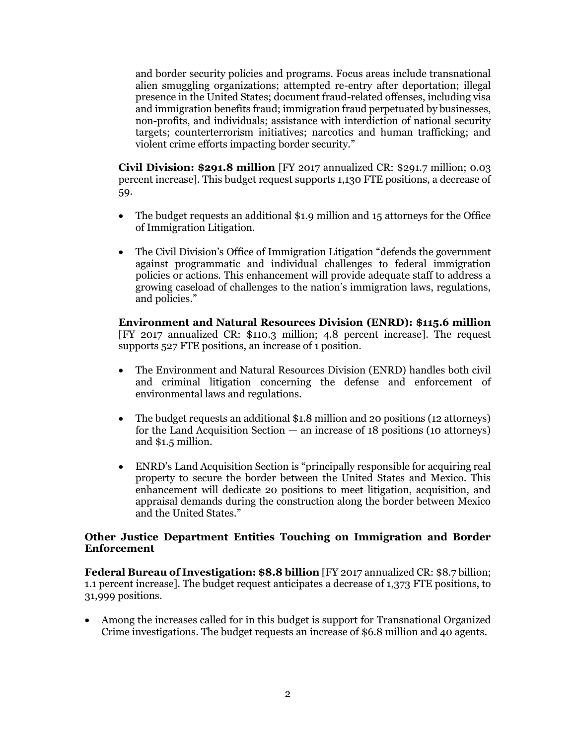and border security policies and programs. Focus areas include transnational alien smuggling organizations; attempted re-entry after deportation; illegal presence in the United States; document fraud-related offenses, including visa and immigration benefits fraud; immigration fraud perpetuated by businesses, non-profits, and individuals; assistance with interdiction of national security targets; counterterrorism initiatives; narcotics and human trafficking; and violent crime efforts impacting border security."

**Civil Division: \$291.8 million** [FY 2017 annualized CR: \$291.7 million; 0.03 percent increase]. This budget request supports 1,130 FTE positions, a decrease of 59.

- The budget requests an additional \$1.9 million and 15 attorneys for the Office of Immigration Litigation.
- The Civil Division's Office of Immigration Litigation "defends the government against programmatic and individual challenges to federal immigration policies or actions. This enhancement will provide adequate staff to address a growing caseload of challenges to the nation's immigration laws, regulations, and policies."

**Environment and Natural Resources Division (ENRD): \$115.6 million** [FY 2017 annualized CR: \$110.3 million; 4.8 percent increase]. The request supports 527 FTE positions, an increase of 1 position.

- The Environment and Natural Resources Division (ENRD) handles both civil and criminal litigation concerning the defense and enforcement of environmental laws and regulations.
- The budget requests an additional \$1.8 million and 20 positions (12 attorneys) for the Land Acquisition Section — an increase of 18 positions (10 attorneys) and \$1.5 million.
- ENRD's Land Acquisition Section is "principally responsible for acquiring real property to secure the border between the United States and Mexico. This enhancement will dedicate 20 positions to meet litigation, acquisition, and appraisal demands during the construction along the border between Mexico and the United States."

## **Other Justice Department Entities Touching on Immigration and Border Enforcement**

**Federal Bureau of Investigation: \$8.8 billion** [FY 2017 annualized CR: \$8.7 billion; 1.1 percent increase]. The budget request anticipates a decrease of 1,373 FTE positions, to 31,999 positions.

 Among the increases called for in this budget is support for Transnational Organized Crime investigations. The budget requests an increase of \$6.8 million and 40 agents.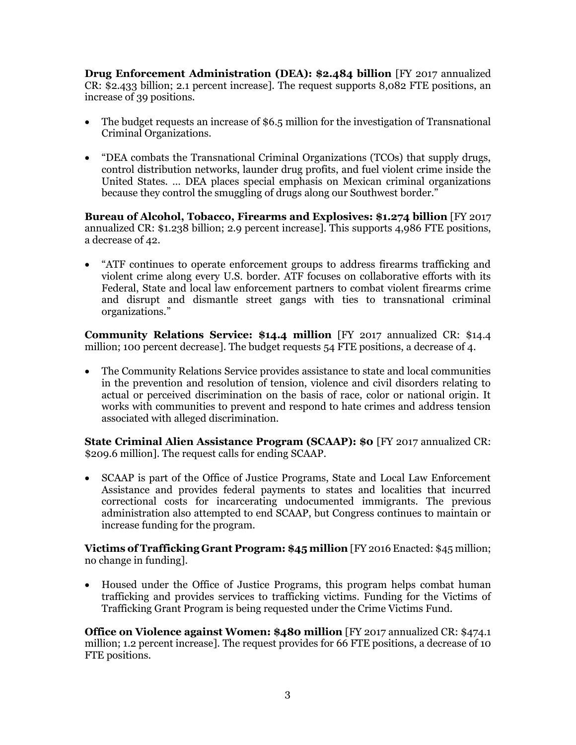**Drug Enforcement Administration (DEA): \$2.484 billion** [FY 2017 annualized CR: \$2.433 billion; 2.1 percent increase]. The request supports 8,082 FTE positions, an increase of 39 positions.

- The budget requests an increase of \$6.5 million for the investigation of Transnational Criminal Organizations.
- "DEA combats the Transnational Criminal Organizations (TCOs) that supply drugs, control distribution networks, launder drug profits, and fuel violent crime inside the United States. … DEA places special emphasis on Mexican criminal organizations because they control the smuggling of drugs along our Southwest border."

**Bureau of Alcohol, Tobacco, Firearms and Explosives: \$1.274 billion** [FY 2017 annualized CR: \$1.238 billion; 2.9 percent increase]. This supports 4,986 FTE positions, a decrease of 42.

 "ATF continues to operate enforcement groups to address firearms trafficking and violent crime along every U.S. border. ATF focuses on collaborative efforts with its Federal, State and local law enforcement partners to combat violent firearms crime and disrupt and dismantle street gangs with ties to transnational criminal organizations."

**Community Relations Service: \$14.4 million** [FY 2017 annualized CR: \$14.4 million; 100 percent decrease]. The budget requests 54 FTE positions, a decrease of 4.

 The Community Relations Service provides assistance to state and local communities in the prevention and resolution of tension, violence and civil disorders relating to actual or perceived discrimination on the basis of race, color or national origin. It works with communities to prevent and respond to hate crimes and address tension associated with alleged discrimination.

**State Criminal Alien Assistance Program (SCAAP): \$0** [FY 2017 annualized CR: \$209.6 million]. The request calls for ending SCAAP.

 SCAAP is part of the Office of Justice Programs, State and Local Law Enforcement Assistance and provides federal payments to states and localities that incurred correctional costs for incarcerating undocumented immigrants. The previous administration also attempted to end SCAAP, but Congress continues to maintain or increase funding for the program.

**Victims of Trafficking Grant Program: \$45 million** [FY 2016 Enacted: \$45 million; no change in funding].

 Housed under the Office of Justice Programs, this program helps combat human trafficking and provides services to trafficking victims. Funding for the Victims of Trafficking Grant Program is being requested under the Crime Victims Fund.

**Office on Violence against Women: \$480 million** [FY 2017 annualized CR: \$474.1] million; 1.2 percent increase]. The request provides for 66 FTE positions, a decrease of 10 FTE positions.